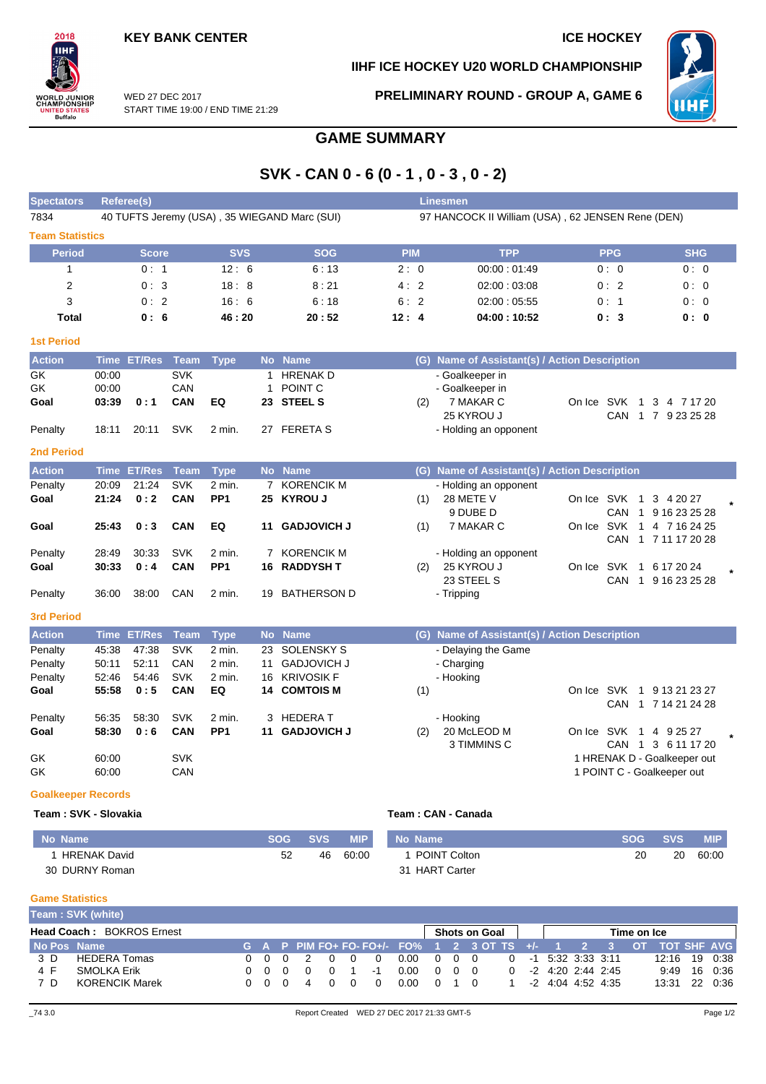$2018$ IІHI

**ORLD JUNIOR<br>HAMPIONSHIP** 

**TED STATES**<br>Buffalo

## **IIHF ICE HOCKEY U20 WORLD CHAMPIONSHIP**



WED 27 DEC 2017 START TIME 19:00 / END TIME 21:29 **PRELIMINARY ROUND - GROUP A, GAME 6**

# **GAME SUMMARY**

# **SVK - CAN 0 - 6 (0 - 1 , 0 - 3 , 0 - 2)**

| <b>Spectators</b>                                        | <b>Referee(s)</b>                |                                |                                        |                                     |                |                                                                              |      |                                                   | <b>Linesmen</b>                                                                        |                                                                                     |                                              |  |  |  |  |  |
|----------------------------------------------------------|----------------------------------|--------------------------------|----------------------------------------|-------------------------------------|----------------|------------------------------------------------------------------------------|------|---------------------------------------------------|----------------------------------------------------------------------------------------|-------------------------------------------------------------------------------------|----------------------------------------------|--|--|--|--|--|
| 7834                                                     |                                  |                                |                                        |                                     |                | 40 TUFTS Jeremy (USA), 35 WIEGAND Marc (SUI)                                 |      | 97 HANCOCK II William (USA), 62 JENSEN Rene (DEN) |                                                                                        |                                                                                     |                                              |  |  |  |  |  |
| <b>Team Statistics</b>                                   |                                  |                                |                                        |                                     |                |                                                                              |      |                                                   |                                                                                        |                                                                                     |                                              |  |  |  |  |  |
| <b>Period</b>                                            |                                  | <b>Score</b>                   |                                        | <b>SVS</b>                          |                | <b>SOG</b>                                                                   |      | <b>PIM</b>                                        | <b>TPP</b>                                                                             | <b>PPG</b>                                                                          | <b>SHG</b>                                   |  |  |  |  |  |
| $\mathbf{1}$                                             |                                  | 0:1                            |                                        | 12:6                                |                | 6:13                                                                         |      | 2:0                                               | 00:00:01:49                                                                            | 0:0                                                                                 | 0:0                                          |  |  |  |  |  |
| 2                                                        |                                  | 0:3                            |                                        | 18:8                                |                | 8:21                                                                         |      | 4:2                                               | 02:00:03:08                                                                            | 0:2                                                                                 | 0:0                                          |  |  |  |  |  |
| 3                                                        |                                  | 0:2                            |                                        | 16:6                                |                | 6:18                                                                         |      | 6:2                                               | 02:00:05:55                                                                            | 0:1                                                                                 | 0:0                                          |  |  |  |  |  |
| <b>Total</b>                                             |                                  | 0:6                            |                                        | 46:20                               |                | 20:52                                                                        | 12:4 |                                                   | 04:00:10:52                                                                            | 0:3                                                                                 | 0:0                                          |  |  |  |  |  |
| <b>1st Period</b>                                        |                                  |                                |                                        |                                     |                |                                                                              |      |                                                   |                                                                                        |                                                                                     |                                              |  |  |  |  |  |
| <b>Action</b>                                            | <b>Time</b>                      | <b>ET/Res</b>                  | <b>Team</b>                            | <b>Type</b>                         | <b>No</b>      | <b>Name</b>                                                                  |      |                                                   | (G) Name of Assistant(s) / Action Description                                          |                                                                                     |                                              |  |  |  |  |  |
| GK<br>GK<br>Goal<br>Penalty                              | 00:00<br>00:00<br>03:39<br>18:11 | 0:1<br>20:11                   | <b>SVK</b><br>CAN<br>CAN<br><b>SVK</b> | EQ<br>2 min.                        | 1              | 1 HRENAK D<br>POINT <sub>C</sub><br>23 STEEL S<br>27 FERETA S                |      | (2)                                               | - Goalkeeper in<br>- Goalkeeper in<br>7 MAKAR C<br>25 KYROU J<br>- Holding an opponent | On Ice SVK 1                                                                        | 3 4 7 17 20<br>CAN 1 7 9 23 25 28            |  |  |  |  |  |
| <b>2nd Period</b>                                        |                                  |                                |                                        |                                     |                |                                                                              |      |                                                   |                                                                                        |                                                                                     |                                              |  |  |  |  |  |
| <b>Action</b>                                            |                                  | Time ET/Res                    | <b>Team</b>                            | <b>Type</b>                         |                | No Name                                                                      |      |                                                   | (G) Name of Assistant(s) / Action Description                                          |                                                                                     |                                              |  |  |  |  |  |
| Penalty<br>Goal<br>Goal                                  | 20:09<br>21:24<br>25:43          | 21:24<br>0:2<br>0:3            | <b>SVK</b><br>CAN<br><b>CAN</b>        | 2 min.<br>PP <sub>1</sub><br>EQ     | 11             | 7 KORENCIK M<br>25 KYROU J<br><b>GADJOVICH J</b>                             |      | (1)<br>(1)                                        | - Holding an opponent<br>28 METE V<br>9 DUBE D<br>7 MAKAR C                            | On Ice SVK 1<br>CAN<br>On Ice SVK 1                                                 | 3 4 20 27<br>1 9 16 23 25 28<br>4 7 16 24 25 |  |  |  |  |  |
| Penalty<br>Goal<br>Penalty                               | 28:49<br>30:33<br>36:00          | 30:33<br>0:4<br>38:00          | <b>SVK</b><br>CAN<br>CAN               | 2 min.<br>PP <sub>1</sub><br>2 min. |                | 7 KORENCIK M<br><b>16 RADDYSH T</b><br>19 BATHERSON D                        |      | (2)                                               | - Holding an opponent<br>25 KYROU J<br>23 STEEL S<br>- Tripping                        | CAN<br>On Ice SVK 1 6 17 20 24                                                      | 1 7 11 17 20 28<br>CAN 1 9 16 23 25 28       |  |  |  |  |  |
| <b>3rd Period</b>                                        |                                  |                                |                                        |                                     |                |                                                                              |      |                                                   |                                                                                        |                                                                                     |                                              |  |  |  |  |  |
| <b>Action</b>                                            | <b>Time</b>                      | <b>ET/Res</b>                  | <b>Team</b>                            | <b>Type</b>                         | <b>No</b>      | <b>Name</b>                                                                  |      |                                                   | (G) Name of Assistant(s) / Action Description                                          |                                                                                     |                                              |  |  |  |  |  |
| Penalty<br>Penalty<br>Penalty<br>Goal                    | 45:38<br>50:11<br>52:46<br>55:58 | 47:38<br>52:11<br>54:46<br>0:5 | <b>SVK</b><br>CAN<br>SVK<br>CAN        | 2 min.<br>2 min.<br>2 min.<br>EQ    | 23<br>11<br>16 | <b>SOLENSKY S</b><br><b>GADJOVICH J</b><br><b>KRIVOSIK F</b><br>14 COMTOIS M |      | (1)                                               | - Delaying the Game<br>- Charging<br>- Hooking                                         | On Ice SVK 1 9 13 21 23 27                                                          | CAN 1 7 14 21 24 28                          |  |  |  |  |  |
| Penalty<br>Goal<br>GK<br>GK<br><b>Goalkeeper Records</b> | 56:35<br>58:30<br>60:00<br>60:00 | 58:30<br>0:6                   | <b>SVK</b><br>CAN<br><b>SVK</b><br>CAN | 2 min.<br>PP <sub>1</sub>           | 3<br>11        | <b>HEDERAT</b><br><b>GADJOVICH J</b>                                         |      | (2)                                               | - Hooking<br>20 McLEOD M<br>3 TIMMINS C                                                | On Ice SVK 1 4 9 25 27<br>1 HRENAK D - Goalkeeper out<br>1 POINT C - Goalkeeper out | CAN 1 3 6 11 17 20                           |  |  |  |  |  |

### **Team : SVK - Slovakia Team : CAN - Canada**

| No Name             | <b>SOG</b> | <b>SVS</b> | <b>MIP</b> | No Name             | <b>SOG</b> | <b>SVS</b> | <b>MIP</b> |
|---------------------|------------|------------|------------|---------------------|------------|------------|------------|
| <b>HRENAK David</b> | 52         | 46         | 60:00      | <b>POINT Colton</b> | 20         | 20         | 60:00      |
| 30 DURNY Roman      |            |            |            | 31 HART Carter      |            |            |            |

#### **Game Statistics**

|                                  | Team: SVK (white)     |  |     |  |        |     |  |    |                      |                   |  |                                                                 |             |  |                                               |                     |               |         |
|----------------------------------|-----------------------|--|-----|--|--------|-----|--|----|----------------------|-------------------|--|-----------------------------------------------------------------|-------------|--|-----------------------------------------------|---------------------|---------------|---------|
| <b>Head Coach: BOKROS Ernest</b> |                       |  |     |  |        |     |  |    | <b>Shots on Goal</b> |                   |  |                                                                 | Time on Ice |  |                                               |                     |               |         |
| No Pos Name                      |                       |  |     |  |        |     |  |    |                      |                   |  | G A P PIM FO+ FO-FO+/- FO% 1 2 3 OT TS +/- 1 2 3 OT TOT SHF AVG |             |  |                                               |                     |               |         |
| 3 D                              | <b>HEDERA Tomas</b>   |  |     |  | 000200 |     |  |    | 0.00 0 0 0           |                   |  |                                                                 |             |  | $0 \quad -1 \quad 5:32 \quad 3:33 \quad 3:11$ |                     | 12:16 19 0:38 |         |
| 4 F                              | SMOLKA Erik           |  | 000 |  |        | - റ |  | -1 | 0.00                 | $0\quad 0\quad 0$ |  |                                                                 | $\Omega$    |  |                                               | -2 4:20 2:44 2:45   | 9:49          | 16 0:36 |
| 7 D                              | <b>KORENCIK Marek</b> |  | 000 |  |        | റ   |  |    | 0.00                 | 01 O              |  |                                                                 |             |  |                                               | $-2$ 4:04 4:52 4:35 | 13:31 22 0:36 |         |